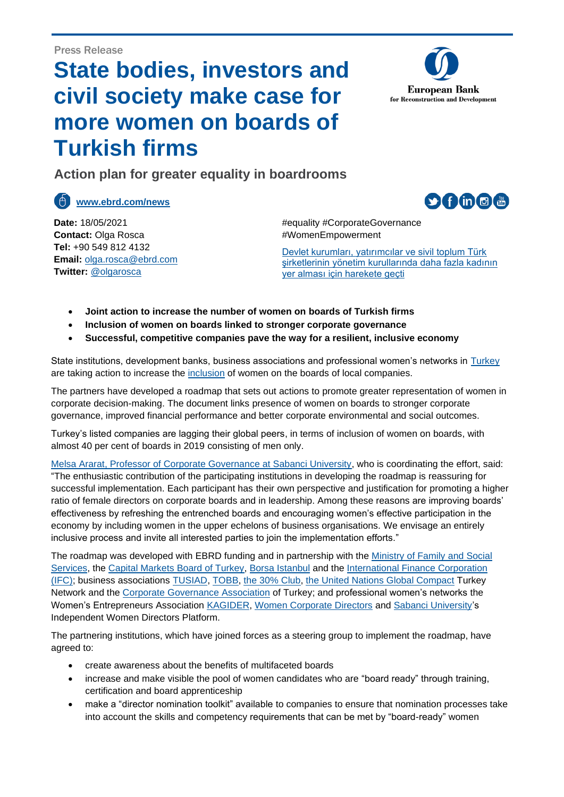## **State bodies, investors and civil society make case for more women on boards of Turkish firms**



 $\circ$  f in  $\circ$   $\circ$ 

**Action plan for greater equality in boardrooms** 

**[www.ebrd.com/news](http://www.ebrd.com/news)**

**Date:** 18/05/2021 **Contact:** Olga Rosca **Tel:** +90 549 812 4132 **Email:** [olga.rosca@ebrd.com](mailto:olga.rosca@ebrd.com) **Twitter:** @olgarosca

#equality #CorporateGovernance #WomenEmpowerment

[Devlet kurumları, yatırımcılar ve sivil toplum Türk](#page-2-0)  [şirketlerinin yönetim kurullarında daha fazla kadının](#page-2-0)  [yer alması için harekete geçti](#page-2-0)

- **Joint action to increase the number of women on boards of Turkish firms**
- **Inclusion of women on boards linked to stronger corporate governance**
- **Successful, competitive companies pave the way for a resilient, inclusive economy**

State institutions, development banks, business associations and professional women's networks in [Turkey](https://www.ebrd.com/turkey.html) are taking action to increase the [inclusion](https://www.ebrd.com/what-we-do/projects-and-sectors/economic-inclusion.html) of women on the boards of local companies.

The partners have developed a roadmap that sets out actions to promote greater representation of women in corporate decision-making. The document links presence of women on boards to stronger corporate governance, improved financial performance and better corporate environmental and social outcomes.

Turkey's listed companies are lagging their global peers, in terms of inclusion of women on boards, with almost 40 per cent of boards in 2019 consisting of men only.

[Melsa Ararat, Professor of Corporate Governance at Sabanci University,](https://sbs.sabanciuniv.edu/en/melsa-ararat) who is coordinating the effort, said: "The enthusiastic contribution of the participating institutions in developing the roadmap is reassuring for successful implementation. Each participant has their own perspective and justification for promoting a higher ratio of female directors on corporate boards and in leadership. Among these reasons are improving boards' effectiveness by refreshing the entrenched boards and encouraging women's effective participation in the economy by including women in the upper echelons of business organisations. We envisage an entirely inclusive process and invite all interested parties to join the implementation efforts."

The roadmap was developed with EBRD funding and in partnership with the [Ministry of Family and Social](https://www.aile.gov.tr/)  [Services,](https://www.aile.gov.tr/) the [Capital Markets Board of Turkey,](https://twitter.com/spkgovtr) [Borsa Istanbul](https://www.borsaistanbul.com/en) and the [International Finance Corporation](https://www.ifc.org/wps/wcm/connect/corp_ext_content/ifc_external_corporate_site/home) [\(IFC\);](https://www.ifc.org/wps/wcm/connect/corp_ext_content/ifc_external_corporate_site/home) business associations [TUSIAD,](https://tusiad.org/en/) [TOBB,](https://www.tobb.org.tr/Sayfalar/Eng/AnaSayfa.php) [the 30% Club,](https://30percentclub.org/) [the United Nations Global Compact](https://www.unglobalcompact.org/) Turkey Network and the [Corporate Governance Association](http://www.tkyd.org/en/tkyd-about-us.html) of Turkey; and professional women's networks the Women's Entrepreneurs Association [KAGIDER,](https://www.kagider.org/) [Women Corporate Directors](https://www.womencorporatedirectors.org/) and [Sabanci University's](https://www.sabanciuniv.edu/en) Independent Women Directors Platform.

The partnering institutions, which have joined forces as a steering group to implement the roadmap, have agreed to:

- create awareness about the benefits of multifaceted boards
- increase and make visible the pool of women candidates who are "board ready" through training, certification and board apprenticeship
- make a "director nomination toolkit" available to companies to ensure that nomination processes take into account the skills and competency requirements that can be met by "board-ready" women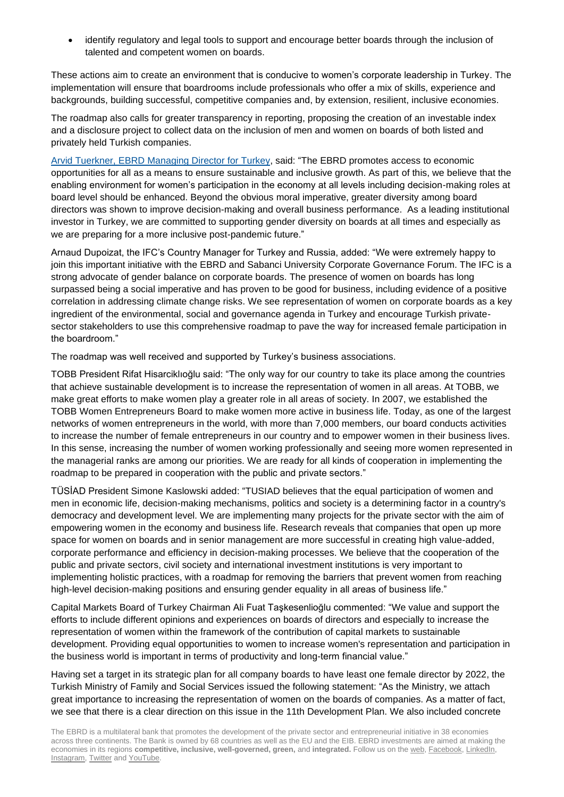• identify regulatory and legal tools to support and encourage better boards through the inclusion of talented and competent women on boards.

These actions aim to create an environment that is conducive to women's corporate leadership in Turkey. The implementation will ensure that boardrooms include professionals who offer a mix of skills, experience and backgrounds, building successful, competitive companies and, by extension, resilient, inclusive economies.

The roadmap also calls for greater transparency in reporting, proposing the creation of an investable index and a disclosure project to collect data on the inclusion of men and women on boards of both listed and privately held Turkish companies.

[Arvid Tuerkner, EBRD Managing Director](https://www.ebrd.com/who-we-we/senior-management/arvid-tuerkner.html) for Turkey, said: "The EBRD promotes access to economic opportunities for all as a means to ensure sustainable and inclusive growth. As part of this, we believe that the enabling environment for women's participation in the economy at all levels including decision-making roles at board level should be enhanced. Beyond the obvious moral imperative, greater diversity among board directors was shown to improve decision-making and overall business performance. As a leading institutional investor in Turkey, we are committed to supporting gender diversity on boards at all times and especially as we are preparing for a more inclusive post-pandemic future."

Arnaud Dupoizat, the IFC's Country Manager for Turkey and Russia, added: "We were extremely happy to join this important initiative with the EBRD and Sabanci University Corporate Governance Forum. The IFC is a strong advocate of gender balance on corporate boards. The presence of women on boards has long surpassed being a social imperative and has proven to be good for business, including evidence of a positive correlation in addressing climate change risks. We see representation of women on corporate boards as a key ingredient of the environmental, social and governance agenda in Turkey and encourage Turkish privatesector stakeholders to use this comprehensive roadmap to pave the way for increased female participation in the boardroom."

The roadmap was well received and supported by Turkey's business associations.

TOBB President Rifat Hisarciklıoğlu said: "The only way for our country to take its place among the countries that achieve sustainable development is to increase the representation of women in all areas. At TOBB, we make great efforts to make women play a greater role in all areas of society. In 2007, we established the TOBB Women Entrepreneurs Board to make women more active in business life. Today, as one of the largest networks of women entrepreneurs in the world, with more than 7,000 members, our board conducts activities to increase the number of female entrepreneurs in our country and to empower women in their business lives. In this sense, increasing the number of women working professionally and seeing more women represented in the managerial ranks are among our priorities. We are ready for all kinds of cooperation in implementing the roadmap to be prepared in cooperation with the public and private sectors."

TÜSİAD President Simone Kaslowski added: "TUSIAD believes that the equal participation of women and men in economic life, decision-making mechanisms, politics and society is a determining factor in a country's democracy and development level. We are implementing many projects for the private sector with the aim of empowering women in the economy and business life. Research reveals that companies that open up more space for women on boards and in senior management are more successful in creating high value-added, corporate performance and efficiency in decision-making processes. We believe that the cooperation of the public and private sectors, civil society and international investment institutions is very important to implementing holistic practices, with a roadmap for removing the barriers that prevent women from reaching high-level decision-making positions and ensuring gender equality in all areas of business life."

Capital Markets Board of Turkey Chairman Ali Fuat Taşkesenlioğlu commented: "We value and support the efforts to include different opinions and experiences on boards of directors and especially to increase the representation of women within the framework of the contribution of capital markets to sustainable development. Providing equal opportunities to women to increase women's representation and participation in the business world is important in terms of productivity and long-term financial value."

Having set a target in its strategic plan for all company boards to have least one female director by 2022, the Turkish Ministry of Family and Social Services issued the following statement: "As the Ministry, we attach great importance to increasing the representation of women on the boards of companies. As a matter of fact, we see that there is a clear direction on this issue in the 11th Development Plan. We also included concrete

The EBRD is a multilateral bank that promotes the development of the private sector and entrepreneurial initiative in 38 economies across three continents. The Bank is owned by 68 countries as well as the EU and the EIB. EBRD investments are aimed at making the economies in its regions **[competitive,](http://www.ebrd.com/transition/competitive.html) [inclusive,](http://www.ebrd.com/transition/inclusive.html) [well-governed,](http://www.ebrd.com/transition/well-governed.html) [green,](http://www.ebrd.com/transition/green.html)** and **[integrated.](http://www.ebrd.com/transition/integrated.html)** Follow us on th[e web,](http://www.ebrd.com/home) [Facebook,](http://www.facebook.com/ebrdhq) [LinkedIn,](http://www.linkedin.com/company/ebrd) [Instagram,](https://www.instagram.com/) [Twitter](http://twitter.com/ebrd) and [YouTube.](http://www.youtube.com/ebrdtv)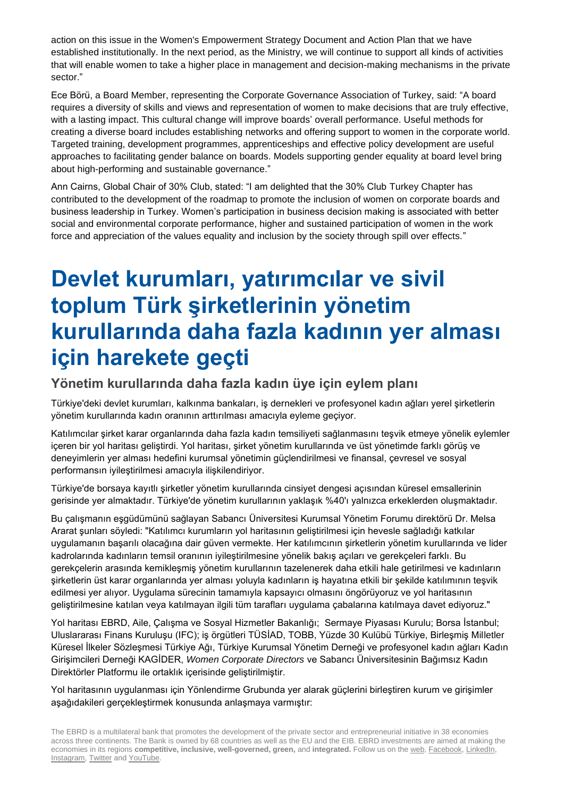action on this issue in the Women's Empowerment Strategy Document and Action Plan that we have established institutionally. In the next period, as the Ministry, we will continue to support all kinds of activities that will enable women to take a higher place in management and decision-making mechanisms in the private sector."

Ece Börü, a Board Member, representing the Corporate Governance Association of Turkey, said: "A board requires a diversity of skills and views and representation of women to make decisions that are truly effective, with a lasting impact. This cultural change will improve boards' overall performance. Useful methods for creating a diverse board includes establishing networks and offering support to women in the corporate world. Targeted training, development programmes, apprenticeships and effective policy development are useful approaches to facilitating gender balance on boards. Models supporting gender equality at board level bring about high-performing and sustainable governance."

Ann Cairns, Global Chair of 30% Club, stated: "I am delighted that the 30% Club Turkey Chapter has contributed to the development of the roadmap to promote the inclusion of women on corporate boards and business leadership in Turkey. Women's participation in business decision making is associated with better social and environmental corporate performance, higher and sustained participation of women in the work force and appreciation of the values equality and inclusion by the society through spill over effects."

## <span id="page-2-0"></span>**Devlet kurumları, yatırımcılar ve sivil toplum Türk şirketlerinin yönetim kurullarında daha fazla kadının yer alması için harekete geçti**

## **Yönetim kurullarında daha fazla kadın üye için eylem planı**

Türkiye'deki devlet kurumları, kalkınma bankaları, iş dernekleri ve profesyonel kadın ağları yerel şirketlerin yönetim kurullarında kadın oranının arttırılması amacıyla eyleme geçiyor.

Katılımcılar şirket karar organlarında daha fazla kadın temsiliyeti sağlanmasını teşvik etmeye yönelik eylemler içeren bir yol haritası geliştirdi. Yol haritası, şirket yönetim kurullarında ve üst yönetimde farklı görüş ve deneyimlerin yer alması hedefini kurumsal yönetimin güçlendirilmesi ve finansal, çevresel ve sosyal performansın iyileştirilmesi amacıyla ilişkilendiriyor.

Türkiye'de borsaya kayıtlı şirketler yönetim kurullarında cinsiyet dengesi açısından küresel emsallerinin gerisinde yer almaktadır. Türkiye'de yönetim kurullarının yaklaşık %40'ı yalnızca erkeklerden oluşmaktadır.

Bu çalışmanın eşgüdümünü sağlayan Sabancı Üniversitesi Kurumsal Yönetim Forumu direktörü Dr. Melsa Ararat şunları söyledi: "Katılımcı kurumların yol haritasının geliştirilmesi için hevesle sağladığı katkılar uygulamanın başarılı olacağına dair güven vermekte. Her katılımcının şirketlerin yönetim kurullarında ve lider kadrolarında kadınların temsil oranının iyileştirilmesine yönelik bakış açıları ve gerekçeleri farklı. Bu gerekçelerin arasında kemikleşmiş yönetim kurullarının tazelenerek daha etkili hale getirilmesi ve kadınların şirketlerin üst karar organlarında yer alması yoluyla kadınların iş hayatına etkili bir şekilde katılımının teşvik edilmesi yer alıyor. Uygulama sürecinin tamamıyla kapsayıcı olmasını öngörüyoruz ve yol haritasının geliştirilmesine katılan veya katılmayan ilgili tüm tarafları uygulama çabalarına katılmaya davet ediyoruz."

Yol haritası EBRD, Aile, Çalışma ve Sosyal Hizmetler Bakanlığı; Sermaye Piyasası Kurulu; Borsa İstanbul; Uluslararası Finans Kuruluşu (IFC); iş örgütleri TÜSİAD, TOBB, Yüzde 30 Kulübü Türkiye, Birleşmiş Milletler Küresel İlkeler Sözleşmesi Türkiye Ağı, Türkiye Kurumsal Yönetim Derneği ve profesyonel kadın ağları Kadın Girişimcileri Derneği KAGİDER, *Women Corporate Directors* ve Sabancı Üniversitesinin Bağımsız Kadın Direktörler Platformu ile ortaklık içerisinde geliştirilmiştir.

Yol haritasının uygulanması için Yönlendirme Grubunda yer alarak güçlerini birleştiren kurum ve girişimler aşağıdakileri gerçekleştirmek konusunda anlaşmaya varmıştır:

The EBRD is a multilateral bank that promotes the development of the private sector and entrepreneurial initiative in 38 economies across three continents. The Bank is owned by 68 countries as well as the EU and the EIB. EBRD investments are aimed at making the economies in its regions **[competitive,](http://www.ebrd.com/transition/competitive.html) [inclusive,](http://www.ebrd.com/transition/inclusive.html) [well-governed,](http://www.ebrd.com/transition/well-governed.html) [green,](http://www.ebrd.com/transition/green.html)** and **[integrated.](http://www.ebrd.com/transition/integrated.html)** Follow us on th[e web,](http://www.ebrd.com/home) [Facebook,](http://www.facebook.com/ebrdhq) [LinkedIn,](http://www.linkedin.com/company/ebrd) [Instagram,](https://www.instagram.com/) [Twitter](http://twitter.com/ebrd) and [YouTube.](http://www.youtube.com/ebrdtv)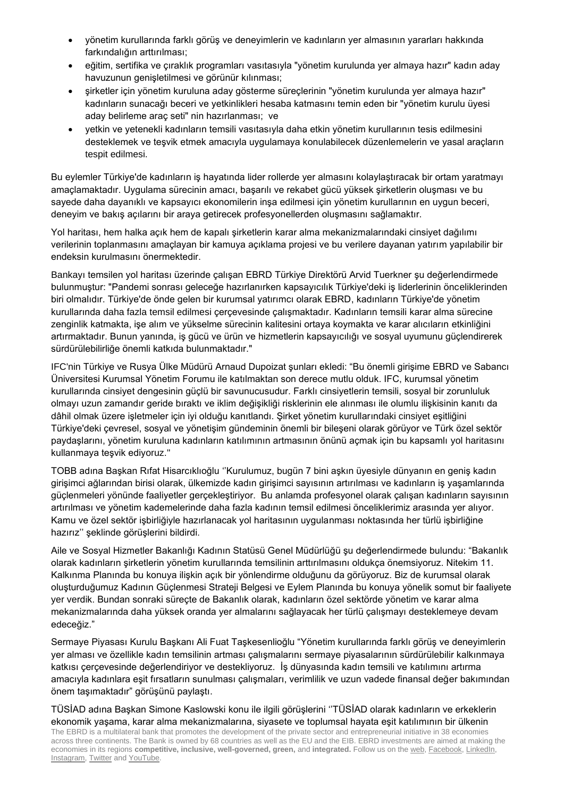- yönetim kurullarında farklı görüş ve deneyimlerin ve kadınların yer almasının yararları hakkında farkındalığın arttırılması;
- eğitim, sertifika ve çıraklık programları vasıtasıyla "yönetim kurulunda yer almaya hazır" kadın aday havuzunun genişletilmesi ve görünür kılınması;
- şirketler için yönetim kuruluna aday gösterme süreçlerinin "yönetim kurulunda yer almaya hazır" kadınların sunacağı beceri ve yetkinlikleri hesaba katmasını temin eden bir "yönetim kurulu üyesi aday belirleme araç seti" nin hazırlanması; ve
- yetkin ve yetenekli kadınların temsili vasıtasıyla daha etkin yönetim kurullarının tesis edilmesini desteklemek ve teşvik etmek amacıyla uygulamaya konulabilecek düzenlemelerin ve yasal araçların tespit edilmesi.

Bu eylemler Türkiye'de kadınların iş hayatında lider rollerde yer almasını kolaylaştıracak bir ortam yaratmayı amaçlamaktadır. Uygulama sürecinin amacı, başarılı ve rekabet gücü yüksek şirketlerin oluşması ve bu sayede daha dayanıklı ve kapsayıcı ekonomilerin inşa edilmesi için yönetim kurullarının en uygun beceri, deneyim ve bakış açılarını bir araya getirecek profesyonellerden oluşmasını sağlamaktır.

Yol haritası, hem halka açık hem de kapalı şirketlerin karar alma mekanizmalarındaki cinsiyet dağılımı verilerinin toplanmasını amaçlayan bir kamuya açıklama projesi ve bu verilere dayanan yatırım yapılabilir bir endeksin kurulmasını önermektedir.

Bankayı temsilen yol haritası üzerinde çalışan EBRD Türkiye Direktörü Arvid Tuerkner şu değerlendirmede bulunmuştur: "Pandemi sonrası geleceğe hazırlanırken kapsayıcılık Türkiye'deki iş liderlerinin önceliklerinden biri olmalıdır. Türkiye'de önde gelen bir kurumsal yatırımcı olarak EBRD, kadınların Türkiye'de yönetim kurullarında daha fazla temsil edilmesi çerçevesinde çalışmaktadır. Kadınların temsili karar alma sürecine zenginlik katmakta, işe alım ve yükselme sürecinin kalitesini ortaya koymakta ve karar alıcıların etkinliğini artırmaktadır. Bunun yanında, iş gücü ve ürün ve hizmetlerin kapsayıcılığı ve sosyal uyumunu güçlendirerek sürdürülebilirliğe önemli katkıda bulunmaktadır."

IFC'nin Türkiye ve Rusya Ülke Müdürü Arnaud Dupoizat şunları ekledi: "Bu önemli girişime EBRD ve Sabancı Üniversitesi Kurumsal Yönetim Forumu ile katılmaktan son derece mutlu olduk. IFC, kurumsal yönetim kurullarında cinsiyet dengesinin güçlü bir savunucusudur. Farklı cinsiyetlerin temsili, sosyal bir zorunluluk olmayı uzun zamandır geride bıraktı ve iklim değişikliği risklerinin ele alınması ile olumlu ilişkisinin kanıtı da dâhil olmak üzere işletmeler için iyi olduğu kanıtlandı. Şirket yönetim kurullarındaki cinsiyet eşitliğini Türkiye'deki çevresel, sosyal ve yönetişim gündeminin önemli bir bileşeni olarak görüyor ve Türk özel sektör paydaşlarını, yönetim kuruluna kadınların katılımının artmasının önünü açmak için bu kapsamlı yol haritasını kullanmaya teşvik ediyoruz."

TOBB adına Başkan Rıfat Hisarcıklıoğlu ''Kurulumuz, bugün 7 bini aşkın üyesiyle dünyanın en geniş kadın girişimci ağlarından birisi olarak, ülkemizde kadın girişimci sayısının artırılması ve kadınların iş yaşamlarında güçlenmeleri yönünde faaliyetler gerçekleştiriyor. Bu anlamda profesyonel olarak çalışan kadınların sayısının artırılması ve yönetim kademelerinde daha fazla kadının temsil edilmesi önceliklerimiz arasında yer alıyor. Kamu ve özel sektör işbirliğiyle hazırlanacak yol haritasının uygulanması noktasında her türlü işbirliğine hazırız'' şeklinde görüşlerini bildirdi.

Aile ve Sosyal Hizmetler Bakanlığı Kadının Statüsü Genel Müdürlüğü şu değerlendirmede bulundu: "Bakanlık olarak kadınların şirketlerin yönetim kurullarında temsilinin arttırılmasını oldukça önemsiyoruz. Nitekim 11. Kalkınma Planında bu konuya ilişkin açık bir yönlendirme olduğunu da görüyoruz. Biz de kurumsal olarak oluşturduğumuz Kadının Güçlenmesi Strateji Belgesi ve Eylem Planında bu konuya yönelik somut bir faaliyete yer verdik. Bundan sonraki süreçte de Bakanlık olarak, kadınların özel sektörde yönetim ve karar alma mekanizmalarında daha yüksek oranda yer almalarını sağlayacak her türlü çalışmayı desteklemeye devam edeceğiz."

Sermaye Piyasası Kurulu Başkanı Ali Fuat Taşkesenlioğlu "Yönetim kurullarında farklı görüş ve deneyimlerin yer alması ve özellikle kadın temsilinin artması çalışmalarını sermaye piyasalarının sürdürülebilir kalkınmaya katkısı çerçevesinde değerlendiriyor ve destekliyoruz. İş dünyasında kadın temsili ve katılımını artırma amacıyla kadınlara eşit fırsatların sunulması çalışmaları, verimlilik ve uzun vadede finansal değer bakımından önem taşımaktadır" görüşünü paylaştı.

The EBRD is a multilateral bank that promotes the development of the private sector and entrepreneurial initiative in 38 economies across three continents. The Bank is owned by 68 countries as well as the EU and the EIB. EBRD investments are aimed at making the economies in its regions **[competitive,](http://www.ebrd.com/transition/competitive.html) [inclusive,](http://www.ebrd.com/transition/inclusive.html) [well-governed,](http://www.ebrd.com/transition/well-governed.html) [green,](http://www.ebrd.com/transition/green.html)** and **[integrated.](http://www.ebrd.com/transition/integrated.html)** Follow us on th[e web,](http://www.ebrd.com/home) [Facebook,](http://www.facebook.com/ebrdhq) [LinkedIn,](http://www.linkedin.com/company/ebrd) [Instagram,](https://www.instagram.com/) [Twitter](http://twitter.com/ebrd) and [YouTube.](http://www.youtube.com/ebrdtv) TÜSİAD adına Başkan Simone Kaslowski konu ile ilgili görüşlerini ''TÜSİAD olarak kadınların ve erkeklerin ekonomik yaşama, karar alma mekanizmalarına, siyasete ve toplumsal hayata eşit katılımının bir ülkenin